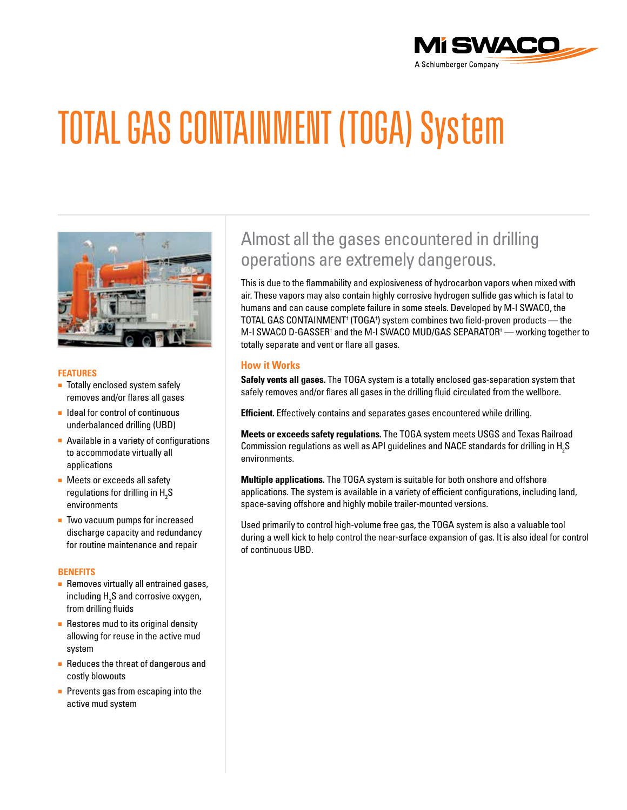

# TOTAL GAS CONTAINMENT (TOGA) System



### **FEATURES**

- Totally enclosed system safely removes and/or flares all gases
- Ideal for control of continuous underbalanced drilling (UBD)
- Available in a variety of configurations to accommodate virtually all applications
- Meets or exceeds all safety regulations for drilling in  $\text{H}_{\text{2}}\text{S}$ environments
- Two vacuum pumps for increased discharge capacity and redundancy for routine maintenance and repair

#### **BENEFITS**

- Removes virtually all entrained gases, including  $\text{H}_{\text{2}}\text{S}$  and corrosive oxygen, from drilling fluids
- Restores mud to its original density allowing for reuse in the active mud system
- Reduces the threat of dangerous and costly blowouts
- Prevents gas from escaping into the active mud system

# Almost all the gases encountered in drilling operations are extremely dangerous.

This is due to the flammability and explosiveness of hydrocarbon vapors when mixed with air. These vapors may also contain highly corrosive hydrogen sulfide gas which is fatal to humans and can cause complete failure in some steels. Developed by M-I SWACO, the TOTAL GAS CONTAINMENT† (TOGA† ) system combines two field-proven products — the M-I SWACO D-GASSER† and the M-I SWACO MUD/GAS SEPARATOR† — working together to totally separate and vent or flare all gases.

## **How it Works**

**Safely vents all gases.** The TOGA system is a totally enclosed gas-separation system that safely removes and/or flares all gases in the drilling fluid circulated from the wellbore.

**Efficient.** Effectively contains and separates gases encountered while drilling.

**Meets or exceeds safety regulations.** The TOGA system meets USGS and Texas Railroad Commission regulations as well as API guidelines and NACE standards for drilling in  $\rm H_2S$ environments.

**Multiple applications.** The TOGA system is suitable for both onshore and offshore applications. The system is available in a variety of efficient configurations, including land, space-saving offshore and highly mobile trailer-mounted versions.

Used primarily to control high-volume free gas, the TOGA system is also a valuable tool during a well kick to help control the near-surface expansion of gas. It is also ideal for control of continuous UBD.